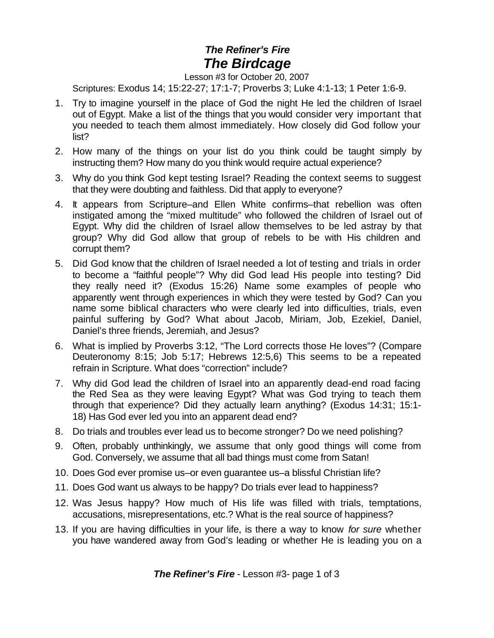## *The Refiner's Fire The Birdcage*

## Lesson #3 for October 20, 2007

Scriptures: Exodus 14; 15:22-27; 17:1-7; Proverbs 3; Luke 4:1-13; 1 Peter 1:6-9.

- 1. Try to imagine yourself in the place of God the night He led the children of Israel out of Egypt. Make a list of the things that you would consider very important that you needed to teach them almost immediately. How closely did God follow your list?
- 2. How many of the things on your list do you think could be taught simply by instructing them? How many do you think would require actual experience?
- 3. Why do you think God kept testing Israel? Reading the context seems to suggest that they were doubting and faithless. Did that apply to everyone?
- 4. It appears from Scripture–and Ellen White confirms–that rebellion was often instigated among the "mixed multitude" who followed the children of Israel out of Egypt. Why did the children of Israel allow themselves to be led astray by that group? Why did God allow that group of rebels to be with His children and corrupt them?
- 5. Did God know that the children of Israel needed a lot of testing and trials in order to become a "faithful people"? Why did God lead His people into testing? Did they really need it? (Exodus 15:26) Name some examples of people who apparently went through experiences in which they were tested by God? Can you name some biblical characters who were clearly led into difficulties, trials, even painful suffering by God? What about Jacob, Miriam, Job, Ezekiel, Daniel, Daniel's three friends, Jeremiah, and Jesus?
- 6. What is implied by Proverbs 3:12, "The Lord corrects those He loves"? (Compare Deuteronomy 8:15; Job 5:17; Hebrews 12:5,6) This seems to be a repeated refrain in Scripture. What does "correction" include?
- 7. Why did God lead the children of Israel into an apparently dead-end road facing the Red Sea as they were leaving Egypt? What was God trying to teach them through that experience? Did they actually learn anything? (Exodus 14:31; 15:1- 18) Has God ever led you into an apparent dead end?
- 8. Do trials and troubles ever lead us to become stronger? Do we need polishing?
- 9. Often, probably unthinkingly, we assume that only good things will come from God. Conversely, we assume that all bad things must come from Satan!
- 10. Does God ever promise us–or even guarantee us–a blissful Christian life?
- 11. Does God want us always to be happy? Do trials ever lead to happiness?
- 12. Was Jesus happy? How much of His life was filled with trials, temptations, accusations, misrepresentations, etc.? What is the real source of happiness?
- 13. If you are having difficulties in your life, is there a way to know *for sure* whether you have wandered away from God's leading or whether He is leading you on a

*The Refiner's Fire* - Lesson #3- page 1 of 3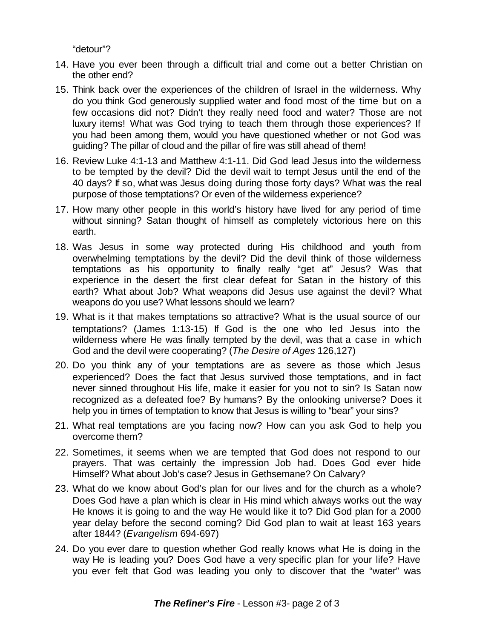"detour"?

- 14. Have you ever been through a difficult trial and come out a better Christian on the other end?
- 15. Think back over the experiences of the children of Israel in the wilderness. Why do you think God generously supplied water and food most of the time but on a few occasions did not? Didn't they really need food and water? Those are not luxury items! What was God trying to teach them through those experiences? If you had been among them, would you have questioned whether or not God was guiding? The pillar of cloud and the pillar of fire was still ahead of them!
- 16. Review Luke 4:1-13 and Matthew 4:1-11. Did God lead Jesus into the wilderness to be tempted by the devil? Did the devil wait to tempt Jesus until the end of the 40 days? If so, what was Jesus doing during those forty days? What was the real purpose of those temptations? Or even of the wilderness experience?
- 17. How many other people in this world's history have lived for any period of time without sinning? Satan thought of himself as completely victorious here on this earth.
- 18. Was Jesus in some way protected during His childhood and youth from overwhelming temptations by the devil? Did the devil think of those wilderness temptations as his opportunity to finally really "get at" Jesus? Was that experience in the desert the first clear defeat for Satan in the history of this earth? What about Job? What weapons did Jesus use against the devil? What weapons do you use? What lessons should we learn?
- 19. What is it that makes temptations so attractive? What is the usual source of our temptations? (James 1:13-15) If God is the one who led Jesus into the wilderness where He was finally tempted by the devil, was that a case in which God and the devil were cooperating? (*The Desire of Ages* 126,127)
- 20. Do you think any of your temptations are as severe as those which Jesus experienced? Does the fact that Jesus survived those temptations, and in fact never sinned throughout His life, make it easier for you not to sin? Is Satan now recognized as a defeated foe? By humans? By the onlooking universe? Does it help you in times of temptation to know that Jesus is willing to "bear" your sins?
- 21. What real temptations are you facing now? How can you ask God to help you overcome them?
- 22. Sometimes, it seems when we are tempted that God does not respond to our prayers. That was certainly the impression Job had. Does God ever hide Himself? What about Job's case? Jesus in Gethsemane? On Calvary?
- 23. What do we know about God's plan for our lives and for the church as a whole? Does God have a plan which is clear in His mind which always works out the way He knows it is going to and the way He would like it to? Did God plan for a 2000 year delay before the second coming? Did God plan to wait at least 163 years after 1844? (*Evangelism* 694-697)
- 24. Do you ever dare to question whether God really knows what He is doing in the way He is leading you? Does God have a very specific plan for your life? Have you ever felt that God was leading you only to discover that the "water" was